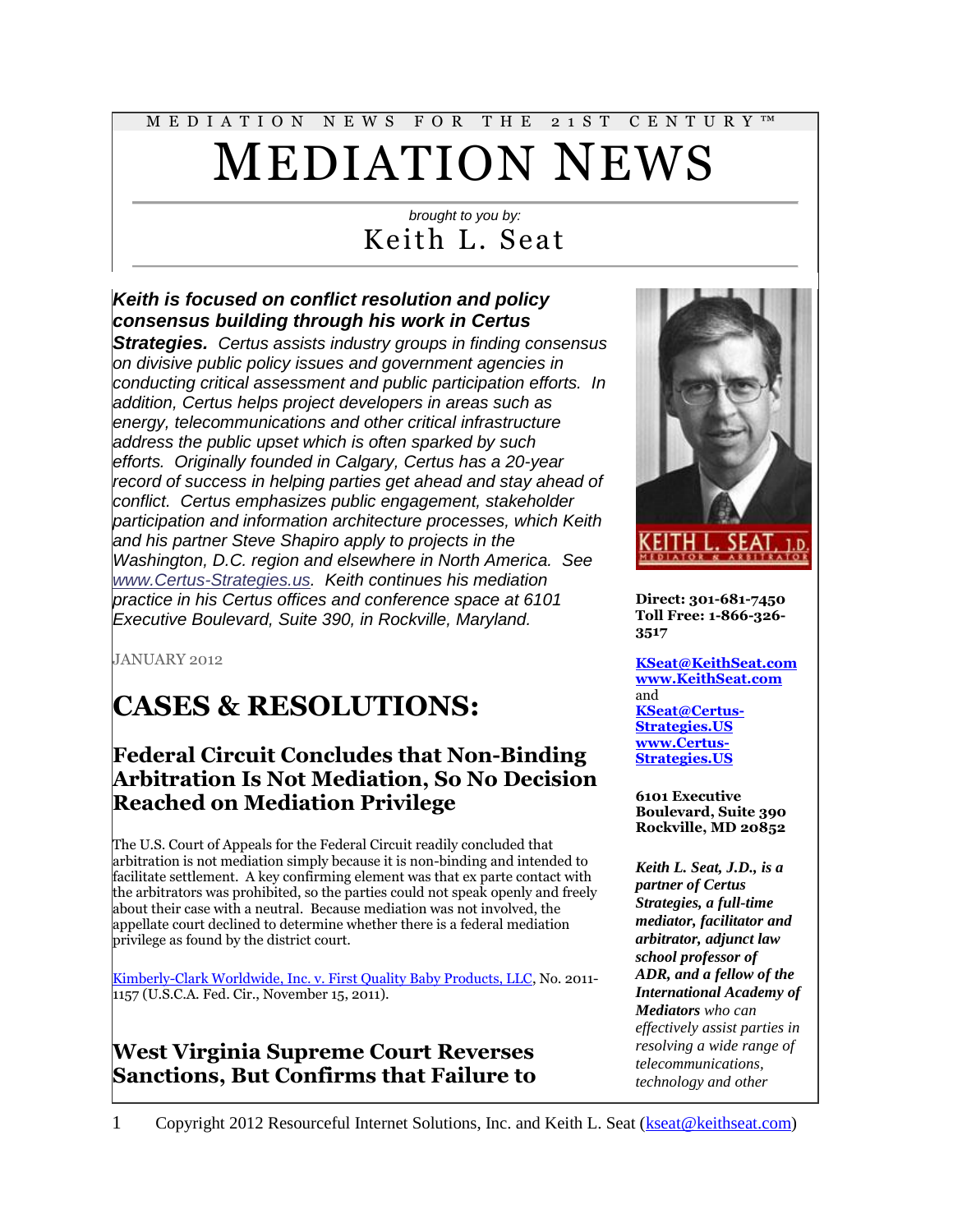# M E D I A T I O N N E W S F O R T H E 2 1 S T C E N T U R Y ™ MEDIATION NEWS

#### *brought to you by:* Keith L. Seat

#### *Keith is focused on conflict resolution and policy consensus building through his work in Certus*

*Strategies. Certus assists industry groups in finding consensus on divisive public policy issues and government agencies in conducting critical assessment and public participation efforts. In addition, Certus helps project developers in areas such as energy, telecommunications and other critical infrastructure address the public upset which is often sparked by such efforts. Originally founded in Calgary, Certus has a 20-year record of success in helping parties get ahead and stay ahead of conflict. Certus emphasizes public engagement, stakeholder participation and information architecture processes, which Keith and his partner Steve Shapiro apply to projects in the Washington, D.C. region and elsewhere in North America. See [www.Certus-Strategies.us.](http://www.certus-strategies.us/) Keith continues his mediation practice in his Certus offices and conference space at 6101 Executive Boulevard, Suite 390, in Rockville, Maryland.*

JANUARY 2012

## **CASES & RESOLUTIONS:**

#### **Federal Circuit Concludes that Non-Binding Arbitration Is Not Mediation, So No Decision Reached on Mediation Privilege**

The U.S. Court of Appeals for the Federal Circuit readily concluded that arbitration is not mediation simply because it is non-binding and intended to facilitate settlement. A key confirming element was that ex parte contact with the arbitrators was prohibited, so the parties could not speak openly and freely about their case with a neutral. Because mediation was not involved, the appellate court declined to determine whether there is a federal mediation privilege as found by the district court.

[Kimberly-Clark Worldwide, Inc. v. First Quality Baby Products, LLC,](http://scholar.google.com/scholar_case?case=17077594945424873718&hl=en&lr=lang_en&as_sdt=2,9&as_vis=1&oi=scholaralrt) No. 2011- 1157 (U.S.C.A. Fed. Cir., November 15, 2011).

#### **West Virginia Supreme Court Reverses Sanctions, But Confirms that Failure to**



**Direct: 301-681-7450 Toll Free: 1-866-326- 3517**

**[KSeat@KeithSeat.com](mailto:KSeat@KeithSeat.com) [www.KeithSeat.com](http://www.keithseat.com/)** and **[KSeat@Certus-](mailto:KSeat@Certus-Strategies.US)[Strategies.US](mailto:KSeat@Certus-Strategies.US) [www.Certus-](http://www.certus-strategies.us/)[Strategies.US](http://www.certus-strategies.us/)**

**6101 Executive Boulevard, Suite 390 Rockville, MD 20852**

*Keith L. Seat, J.D., is a partner of Certus Strategies, a full-time mediator, facilitator and arbitrator, adjunct law school professor of ADR, and a fellow of the International Academy of Mediators who can effectively assist parties in resolving a wide range of telecommunications, technology and other*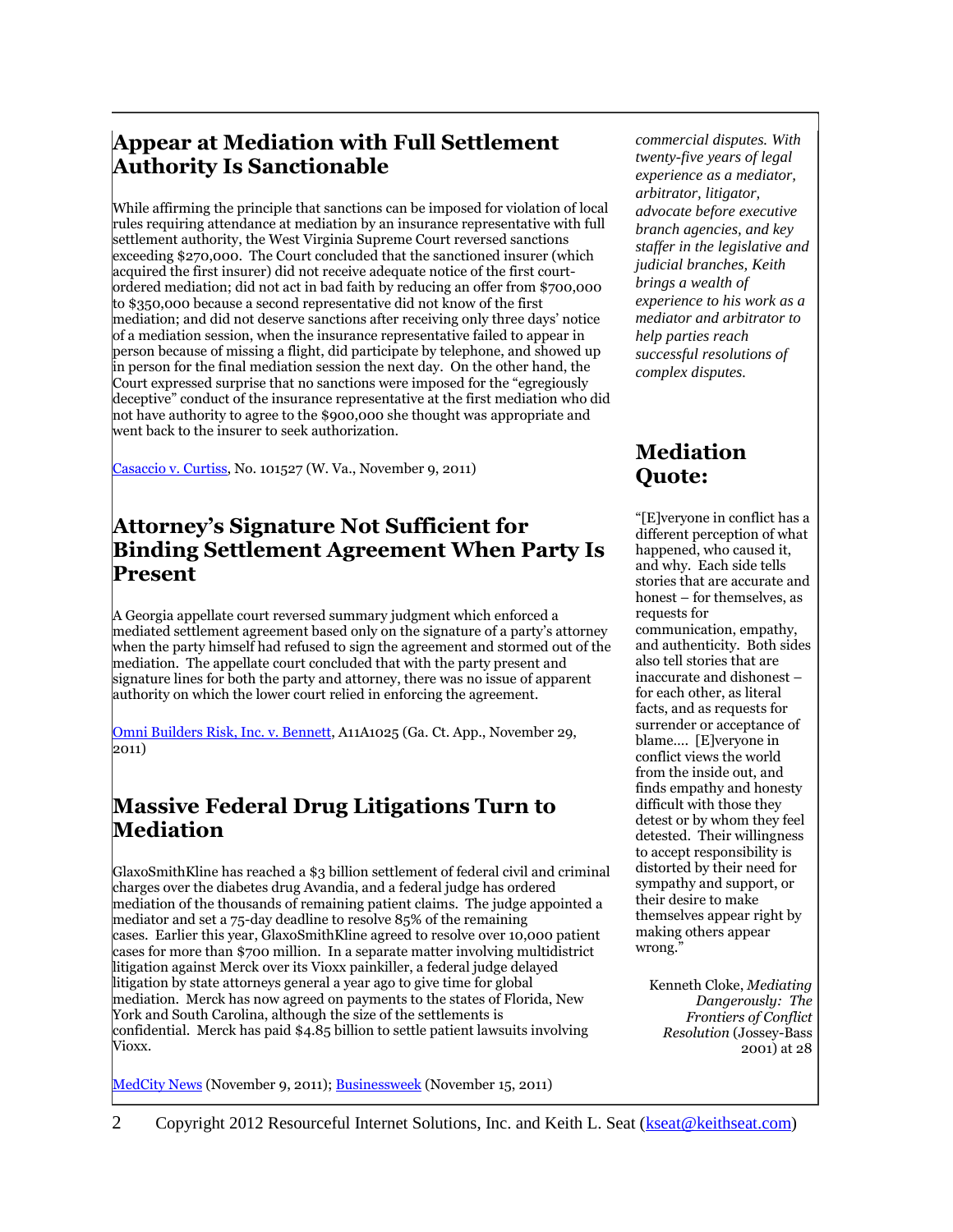#### **Appear at Mediation with Full Settlement Authority Is Sanctionable**

While affirming the principle that sanctions can be imposed for violation of local rules requiring attendance at mediation by an insurance representative with full settlement authority, the West Virginia Supreme Court reversed sanctions exceeding \$270,000. The Court concluded that the sanctioned insurer (which acquired the first insurer) did not receive adequate notice of the first courtordered mediation; did not act in bad faith by reducing an offer from \$700,000 to \$350,000 because a second representative did not know of the first mediation; and did not deserve sanctions after receiving only three days' notice of a mediation session, when the insurance representative failed to appear in person because of missing a flight, did participate by telephone, and showed up in person for the final mediation session the next day. On the other hand, the Court expressed surprise that no sanctions were imposed for the "egregiously deceptive" conduct of the insurance representative at the first mediation who did not have authority to agree to the \$900,000 she thought was appropriate and went back to the insurer to seek authorization.

[Casaccio v. Curtiss,](http://scholar.google.com/scholar_case?case=9362552970719951312&hl=en&lr=lang_en&as_sdt=2,9&as_vis=1&oi=scholaralrt) No. 101527 (W. Va., November 9, 2011)

#### **Attorney's Signature Not Sufficient for Binding Settlement Agreement When Party Is Present**

A Georgia appellate court reversed summary judgment which enforced a mediated settlement agreement based only on the signature of a party's attorney when the party himself had refused to sign the agreement and stormed out of the mediation. The appellate court concluded that with the party present and signature lines for both the party and attorney, there was no issue of apparent authority on which the lower court relied in enforcing the agreement.

[Omni Builders Risk, Inc. v. Bennett,](http://www.leagle.com/xmlResult.aspx?page=1&xmldoc=In%20GACO%2020111129252.xml&docbase=CSLWAR3-2007-CURR&SizeDisp=7) A11A1025 (Ga. Ct. App., November 29, 2011)

#### **Massive Federal Drug Litigations Turn to Mediation**

GlaxoSmithKline has reached a \$3 billion settlement of federal civil and criminal charges over the diabetes drug Avandia, and a federal judge has ordered mediation of the thousands of remaining patient claims. The judge appointed a mediator and set a 75-day deadline to resolve 85% of the remaining cases. Earlier this year, GlaxoSmithKline agreed to resolve over 10,000 patient cases for more than \$700 million. In a separate matter involving multidistrict litigation against Merck over its Vioxx painkiller, a federal judge delayed litigation by state attorneys general a year ago to give time for global mediation. Merck has now agreed on payments to the states of Florida, New York and South Carolina, although the size of the settlements is confidential. Merck has paid \$4.85 billion to settle patient lawsuits involving Vioxx.

[MedCity News](http://www.medcitynews.com/2011/11/after-3b-federal-settlement-gsk-pressured-to-settle-avandia-patient-suits/) (November 9, 2011); [Businessweek](http://www.businessweek.com/news/2011-11-15/merck-agrees-to-settle-new-york-s-florida-s-vioxx-claims.html) (November 15, 2011)

*commercial disputes. With twenty-five years of legal experience as a mediator, arbitrator, litigator, advocate before executive branch agencies, and key staffer in the legislative and judicial branches, Keith brings a wealth of experience to his work as a mediator and arbitrator to help parties reach successful resolutions of complex disputes.*

#### **Mediation Quote:**

"[E]veryone in conflict has a different perception of what happened, who caused it, and why. Each side tells stories that are accurate and honest – for themselves, as requests for communication, empathy, and authenticity. Both sides also tell stories that are inaccurate and dishonest – for each other, as literal facts, and as requests for surrender or acceptance of blame…. [E]veryone in conflict views the world from the inside out, and finds empathy and honesty difficult with those they detest or by whom they feel detested. Their willingness to accept responsibility is distorted by their need for sympathy and support, or their desire to make themselves appear right by making others appear wrong."

Kenneth Cloke, *Mediating Dangerously: The Frontiers of Conflict Resolution* (Jossey-Bass 2001) at 28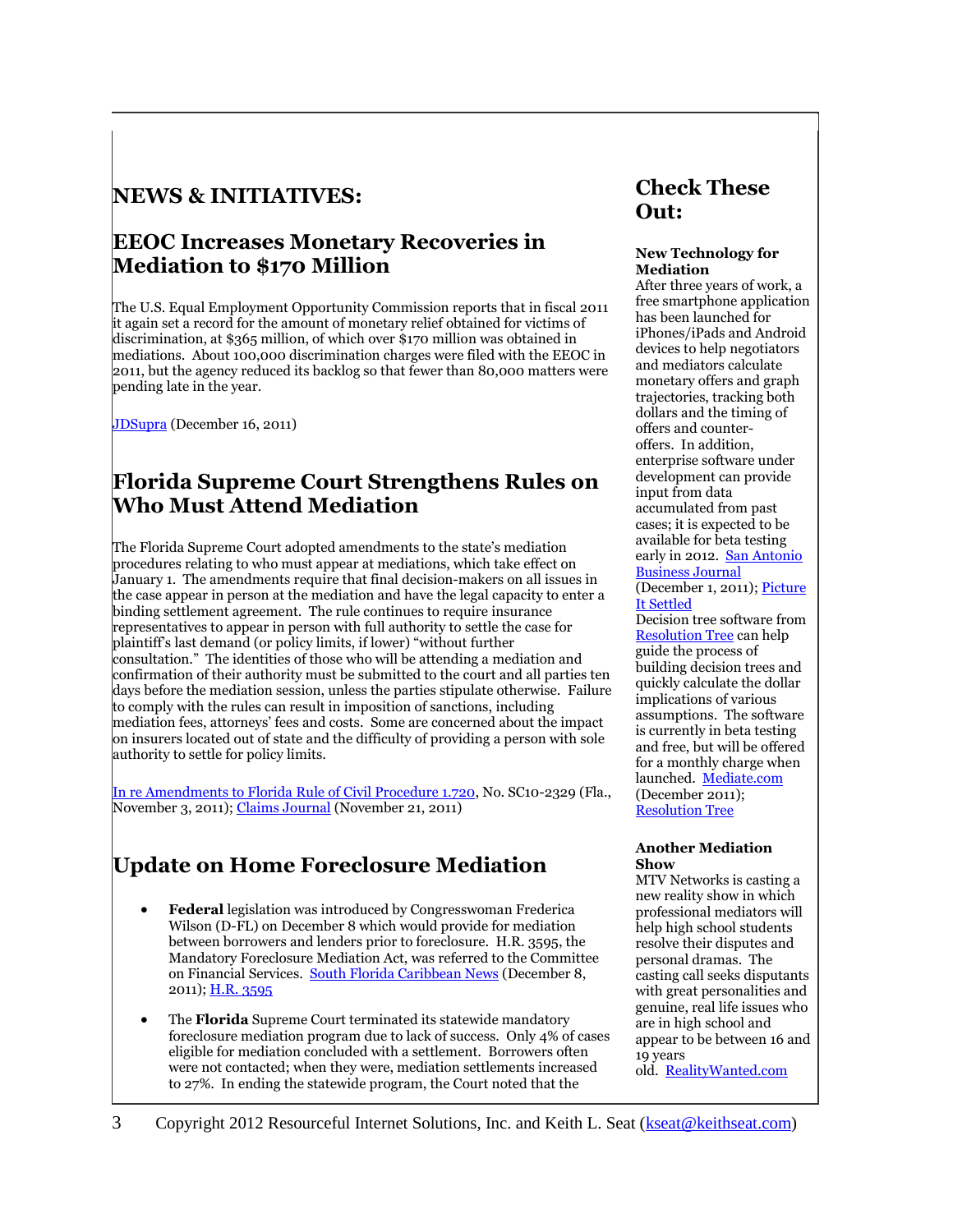#### **NEWS & INITIATIVES:**

#### **EEOC Increases Monetary Recoveries in Mediation to \$170 Million**

The U.S. Equal Employment Opportunity Commission reports that in fiscal 2011 it again set a record for the amount of monetary relief obtained for victims of discrimination, at \$365 million, of which over \$170 million was obtained in mediations. About 100,000 discrimination charges were filed with the EEOC in 2011, but the agency reduced its backlog so that fewer than 80,000 matters were pending late in the year.

[JDSupra](http://www.jdsupra.com/post/documentViewer.aspx?fid=58d3c6f4-d5c8-444b-996b-080ee958d976) (December 16, 2011)

#### **Florida Supreme Court Strengthens Rules on Who Must Attend Mediation**

The Florida Supreme Court adopted amendments to the state's mediation procedures relating to who must appear at mediations, which take effect on January 1. The amendments require that final decision-makers on all issues in the case appear in person at the mediation and have the legal capacity to enter a binding settlement agreement. The rule continues to require insurance representatives to appear in person with full authority to settle the case for plaintiff's last demand (or policy limits, if lower) "without further consultation." The identities of those who will be attending a mediation and confirmation of their authority must be submitted to the court and all parties ten days before the mediation session, unless the parties stipulate otherwise. Failure to comply with the rules can result in imposition of sanctions, including mediation fees, attorneys' fees and costs. Some are concerned about the impact on insurers located out of state and the difficulty of providing a person with sole authority to settle for policy limits.

[In re Amendments to Florida Rule of Civil Procedure 1.720,](http://www.floridasupremecourt.org/decisions/2011/sc10-2329.pdf) No. SC10-2329 (Fla., November 3, 2011)[; Claims Journal](http://www.claimsjournal.com/news/southeast/2011/11/21/195451.htm) (November 21, 2011)

### **Update on Home Foreclosure Mediation**

- **Federal** legislation was introduced by Congresswoman Frederica Wilson (D-FL) on December 8 which would provide for mediation between borrowers and lenders prior to foreclosure. H.R. 3595, the Mandatory Foreclosure Mediation Act, was referred to the Committee on Financial Services. [South Florida Caribbean News](http://sflcn.com/story.php?id=11089) (December 8, 2011); [H.R. 3595](http://www.opencongress.org/bill/112-h3595/text)
- The **Florida** Supreme Court terminated its statewide mandatory foreclosure mediation program due to lack of success. Only 4% of cases eligible for mediation concluded with a settlement. Borrowers often were not contacted; when they were, mediation settlements increased to 27%. In ending the statewide program, the Court noted that the

### **Check These Out:**

#### **New Technology for Mediation**

After three years of work, a free smartphone application has been launched for iPhones/iPads and Android devices to help negotiators and mediators calculate monetary offers and graph trajectories, tracking both dollars and the timing of offers and counteroffers. In addition, enterprise software under development can provide input from data accumulated from past cases; it is expected to be available for beta testing early in 2012. San Antonio [Business Journal](http://www.bizjournals.com/sanantonio/blog/2011/12/san-antonio-lawyer-launches-mobile-app.html?page=all) (December 1, 2011)[; Picture](http://www.pictureitsettled.com/) 

[It Settled](http://www.pictureitsettled.com/) Decision tree software from [Resolution Tree](http://www.resolutiontree.com/) can help guide the process of building decision trees and quickly calculate the dollar implications of various assumptions. The software is currently in beta testing and free, but will be offered for a monthly charge when launched. [Mediate.com](http://www.mediate.com/articles/DegrootJ2.cfm) (December 2011); [Resolution Tree](http://www.resolutiontree.com/)

#### **Another Mediation Show**

MTV Networks is casting a new reality show in which professional mediators will help high school students resolve their disputes and personal dramas. The casting call seeks disputants with great personalities and genuine, real life issues who are in high school and appear to be between 16 and 19 years old. [RealityWanted.com](http://www.realitywanted.com/call/14721-now-casting-mtv-mediation-show)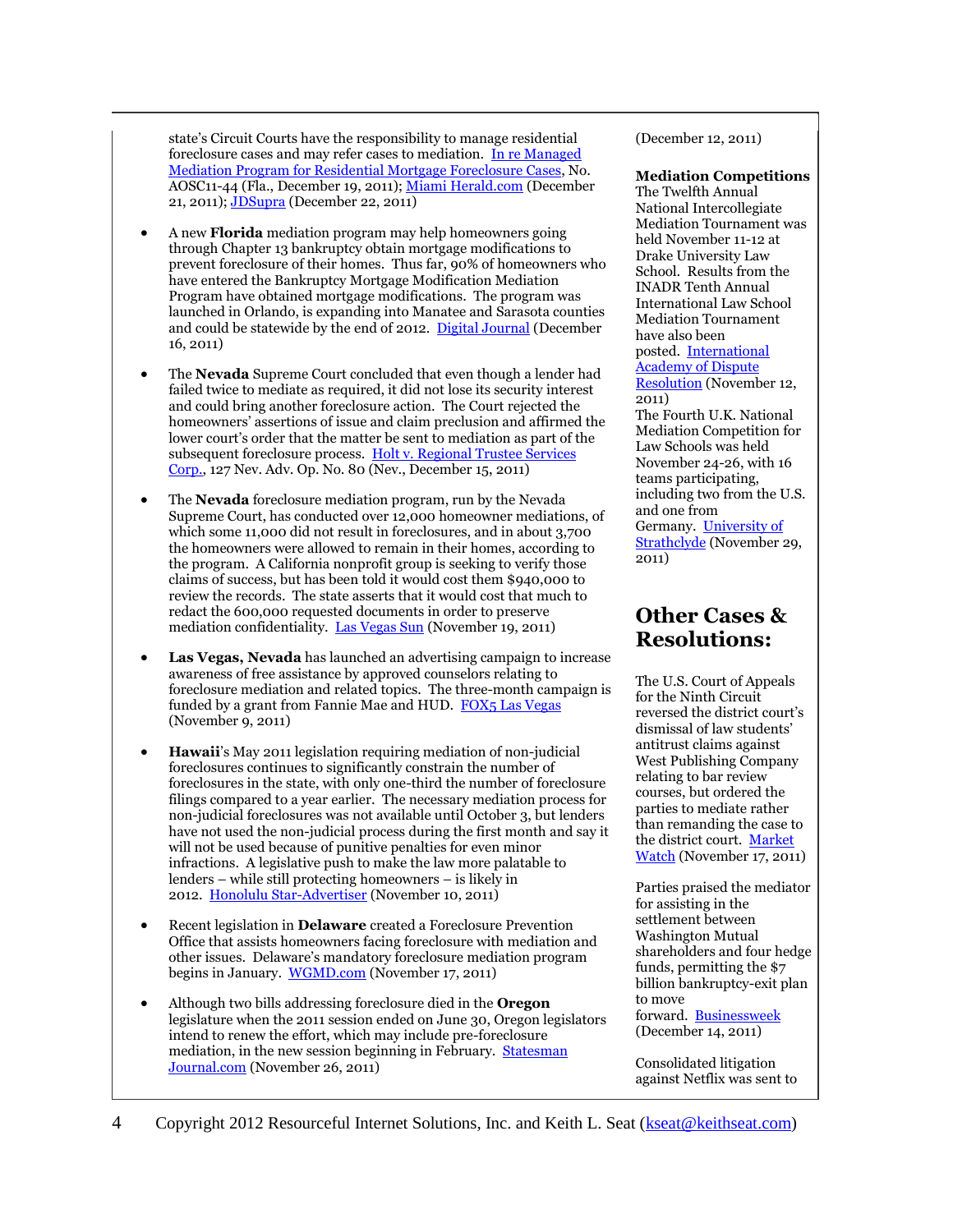state's Circuit Courts have the responsibility to manage residential foreclosure cases and may refer cases to mediation. [In re Managed](http://www.floridasupremecourt.org/pub_info/documents/foreclosure_orders/12-19-2011_Order_Managed_Mediation.pdf)  [Mediation Program for Residential Mortgage Foreclosure Cases,](http://www.floridasupremecourt.org/pub_info/documents/foreclosure_orders/12-19-2011_Order_Managed_Mediation.pdf) No. AOSC11-44 (Fla., December 19, 2011); [Miami Herald.com](http://www.miamiherald.com/2011/12/19/2553745/floridas-foreclosure-mediation.html) (December 21, 2011)[; JDSupra](http://www.jdsupra.com/post/documentViewer.aspx?fid=019e7f2b-2244-4cd1-a914-c7554e2a0a21) (December 22, 2011)

- A new **Florida** mediation program may help homeowners going through Chapter 13 bankruptcy obtain mortgage modifications to prevent foreclosure of their homes. Thus far, 90% of homeowners who have entered the Bankruptcy Mortgage Modification Mediation Program have obtained mortgage modifications. The program was launched in Orlando, is expanding into Manatee and Sarasota counties and could be statewide by the end of 2012. [Digital Journal](http://www.digitaljournal.com/pr/525656) (December 16, 2011)
- The **Nevada** Supreme Court concluded that even though a lender had failed twice to mediate as required, it did not lose its security interest and could bring another foreclosure action. The Court rejected the homeowners' assertions of issue and claim preclusion and affirmed the lower court's order that the matter be sent to mediation as part of the subsequent foreclosure process. Holt v. Regional Trustee Services [Corp.,](http://www.leagle.com/xmlResult.aspx?page=1&xmldoc=In%20NVCO%2020111215286.xml&docbase=CSLWAR3-2007-CURR&SizeDisp=7) 127 Nev. Adv. Op. No. 80 (Nev., December 15, 2011)
- The **Nevada** foreclosure mediation program, run by the Nevada Supreme Court, has conducted over 12,000 homeowner mediations, of which some 11,000 did not result in foreclosures, and in about 3,700 the homeowners were allowed to remain in their homes, according to the program. A California nonprofit group is seeking to verify those claims of success, but has been told it would cost them \$940,000 to review the records. The state asserts that it would cost that much to redact the 600,000 requested documents in order to preserve mediation confidentiality. [Las Vegas Sun](http://www.lasvegassun.com/news/2011/nov/19/court-wants-nonprofit-group-pay-almost-1-million-r/) (November 19, 2011)
- **Las Vegas, Nevada** has launched an advertising campaign to increase awareness of free assistance by approved counselors relating to foreclosure mediation and related topics. The three-month campaign is funded by a grant from Fannie Mae and HUD. [FOX5 Las Vegas](http://www.fox5vegas.com/story/15998121/las-vegas-launches-free-foreclosure-help-campaign) (November 9, 2011)
- **Hawaii**'s May 2011 legislation requiring mediation of non-judicial foreclosures continues to significantly constrain the number of foreclosures in the state, with only one-third the number of foreclosure filings compared to a year earlier. The necessary mediation process for non-judicial foreclosures was not available until October 3, but lenders have not used the non-judicial process during the first month and say it will not be used because of punitive penalties for even minor infractions. A legislative push to make the law more palatable to lenders – while still protecting homeowners – is likely in 2012. [Honolulu Star-Advertiser](http://www.staradvertiser.com/business/businessnews/20111110__Foreclosures_down_66_under_new_state_law.html?id=133594098) (November 10, 2011)
- Recent legislation in **Delaware** created a Foreclosure Prevention Office that assists homeowners facing foreclosure with mediation and other issues. Delaware's mandatory foreclosure mediation program begins in January. [WGMD.com](http://www.wgmd.com/?p=40445) (November 17, 2011)
- Although two bills addressing foreclosure died in the **Oregon** legislature when the 2011 session ended on June 30, Oregon legislators intend to renew the effort, which may include pre-foreclosure mediation, in the new session beginning in February. [Statesman](http://www.statesmanjournal.com/article/20111127/STATE/111270374/Legislature-will-revisit-bills-about-foreclosure?odyssey=tab|topnews|text|News)  [Journal.com](http://www.statesmanjournal.com/article/20111127/STATE/111270374/Legislature-will-revisit-bills-about-foreclosure?odyssey=tab|topnews|text|News) (November 26, 2011)

(December 12, 2011)

#### **Mediation Competitions**

The Twelfth Annual National Intercollegiate Mediation Tournament was held November 11-12 at Drake University Law School. Results from the INADR Tenth Annual International Law School Mediation Tournament have also been posted. [International](http://www.inadr.org/tournaments/past-tournament-results)  [Academy of Dispute](http://www.inadr.org/tournaments/past-tournament-results)  [Resolution](http://www.inadr.org/tournaments/past-tournament-results) (November 12, 2011) The Fourth U.K. National Mediation Competition for Law Schools was held November 24-26, with 16

teams participating, including two from the U.S. and one from Germany. [University of](http://www.strath.ac.uk/humanities/lawschool/news/)  [Strathclyde](http://www.strath.ac.uk/humanities/lawschool/news/) (November 29, 2011)

#### **Other Cases & Resolutions:**

The U.S. Court of Appeals for the Ninth Circuit reversed the district court's dismissal of law students' antitrust claims against West Publishing Company relating to bar review courses, but ordered the parties to mediate rather than remanding the case to the district court. [Market](http://www.marketwatch.com/story/harris-ruble-announces-update-on-stetson-v-west-publishing-corp-et-al-2011-11-17)  [Watch](http://www.marketwatch.com/story/harris-ruble-announces-update-on-stetson-v-west-publishing-corp-et-al-2011-11-17) (November 17, 2011)

Parties praised the mediator for assisting in the settlement between Washington Mutual shareholders and four hedge funds, permitting the \$7 billion bankruptcy-exit plan to move forward. [Businessweek](http://www.businessweek.com/news/2011-12-14/wamu-shareholders-settle-agree-to-support-7-billion-plan.html) (December 14, 2011)

Consolidated litigation against Netflix was sent to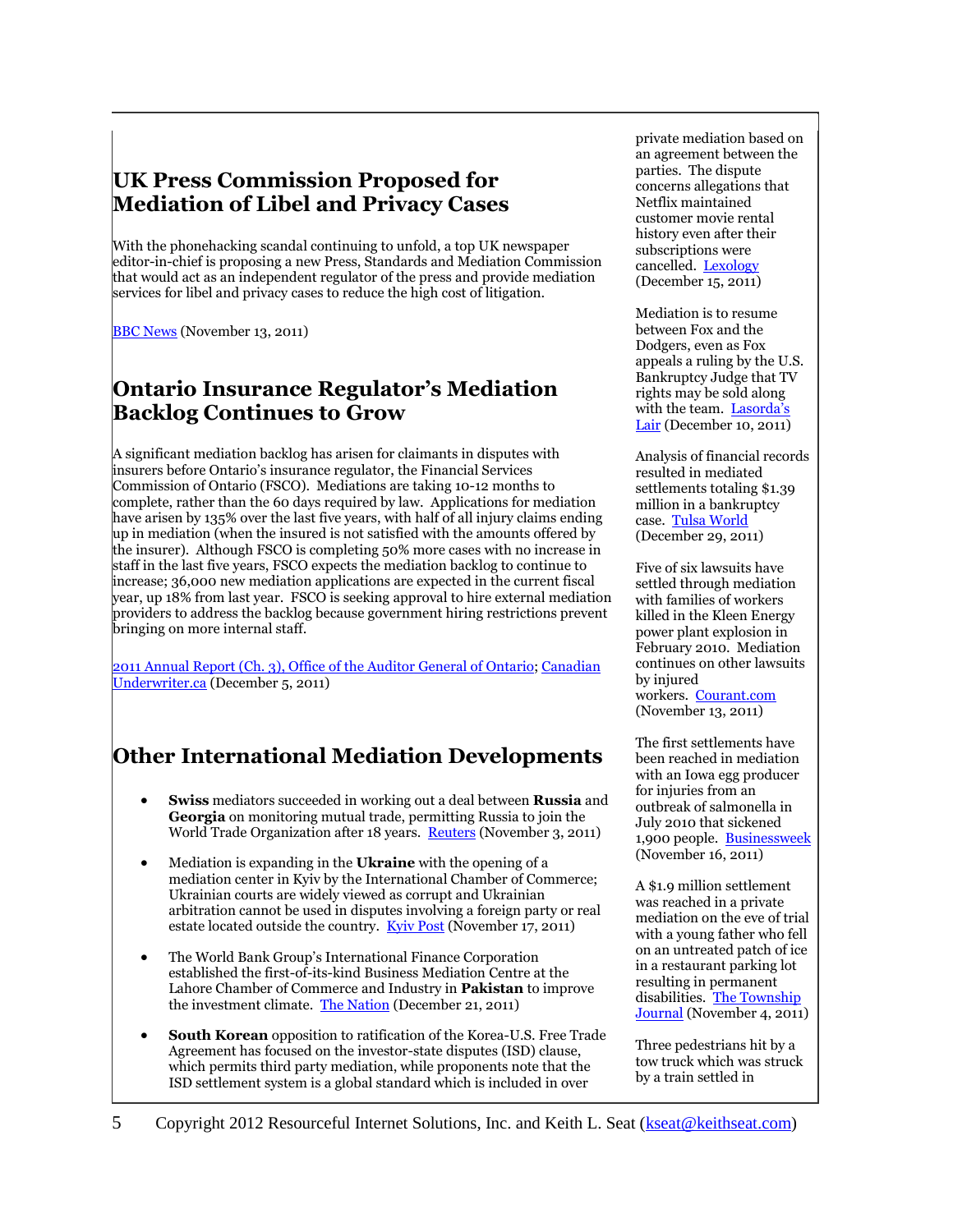### **UK Press Commission Proposed for Mediation of Libel and Privacy Cases**

With the phonehacking scandal continuing to unfold, a top UK newspaper editor-in-chief is proposing a new Press, Standards and Mediation Commission that would act as an independent regulator of the press and provide mediation services for libel and privacy cases to reduce the high cost of litigation.

**[BBC News](http://www.bbc.co.uk/news/entertainment-arts-15700467)** (November 13, 2011)

### **Ontario Insurance Regulator's Mediation Backlog Continues to Grow**

A significant mediation backlog has arisen for claimants in disputes with insurers before Ontario's insurance regulator, the Financial Services Commission of Ontario (FSCO). Mediations are taking 10-12 months to complete, rather than the 60 days required by law. Applications for mediation have arisen by 135% over the last five years, with half of all injury claims ending up in mediation (when the insured is not satisfied with the amounts offered by the insurer). Although FSCO is completing 50% more cases with no increase in staff in the last five years, FSCO expects the mediation backlog to continue to increase; 36,000 new mediation applications are expected in the current fiscal year, up 18% from last year. FSCO is seeking approval to hire external mediation providers to address the backlog because government hiring restrictions prevent bringing on more internal staff.

[2011 Annual Report \(Ch. 3\), Office](http://www.auditor.on.ca/en/reports_en/en11/301en11.pdf) of the Auditor General of Ontario[; Canadian](http://www.canadianunderwriter.ca/news/ontario-auditor-general-calls-for-review-of-insurers-12-rate-of-return-mediation-backlogs-and-asset/1000740108/)  [Underwriter.ca](http://www.canadianunderwriter.ca/news/ontario-auditor-general-calls-for-review-of-insurers-12-rate-of-return-mediation-backlogs-and-asset/1000740108/) (December 5, 2011)

### **Other International Mediation Developments**

- **Swiss** mediators succeeded in working out a deal between **Russia** and **Georgia** on monitoring mutual trade, permitting Russia to join the World Trade Organization after 18 years. [Reuters](http://www.reuters.com/article/2011/11/03/us-russia-wto-georgia-idUSTRE7A26ZK20111103) (November 3, 2011)
- Mediation is expanding in the **Ukraine** with the opening of a mediation center in Kyiv by the International Chamber of Commerce; Ukrainian courts are widely viewed as corrupt and Ukrainian arbitration cannot be used in disputes involving a foreign party or real estate located outside the country. [Kyiv Post](http://www.kyivpost.com/news/business/bus_focus/detail/117184/) (November 17, 2011)
- The World Bank Group's International Finance Corporation established the first-of-its-kind Business Mediation Centre at the Lahore Chamber of Commerce and Industry in **Pakistan** to improve the investment climate. [The Nation](http://nation.com.pk/pakistan-news-newspaper-daily-english-online/Business/21-Dec-2011/IFC-sets-up-business-mediation-centre) (December 21, 2011)
- **South Korean** opposition to ratification of the Korea-U.S. Free Trade Agreement has focused on the investor-state disputes (ISD) clause, which permits third party mediation, while proponents note that the ISD settlement system is a global standard which is included in over

private mediation based on an agreement between the parties. The dispute concerns allegations that Netflix maintained customer movie rental history even after their subscriptions were cancelled. [Lexology](http://www.lexology.com/library/detail.aspx?g=e152eae0-c251-4658-9d13-ca1c8ad4cd3d&utm_source=lexology+daily+newsfeed&utm_medium=html+email+-+body+-+federal+section&utm_campaign=lexology+subscriber+daily+feed&utm_content=lexology+daily+newsfeed+2012-01-04&) (December 15, 2011)

Mediation is to resume between Fox and the Dodgers, even as Fox appeals a ruling by the U.S. Bankruptcy Judge that TV rights may be sold along with the team. Lasorda's [Lair](http://lasordaslair.com/2011/12/10/judge-rules-dodgers-can-sell-tv-rights-early/) (December 10, 2011)

Analysis of financial records resulted in mediated settlements totaling \$1.39 million in a bankruptcy case. [Tulsa World](http://www.tulsaworld.com/business/article.aspx?subjectid=45&articleid=20111229_45_E1_ArrowT93626) (December 29, 2011)

Five of six lawsuits have settled through mediation with families of workers killed in the Kleen Energy power plant explosion in February 2010. Mediation continues on other lawsuits by injured workers. [Courant.com](http://www.courant.com/community/middletown/hc-ap-ct-powerplantexplosinov13,0,5518255.story) (November 13, 2011)

The first settlements have been reached in mediation with an Iowa egg producer for injuries from an outbreak of salmonella in July 2010 that sickened 1,900 people. [Businessweek](http://www.businessweek.com/ap/financialnews/D9R1UKR80.htm) (November 16, 2011)

A \$1.9 million settlement was reached in a private mediation on the eve of trial with a young father who fell on an untreated patch of ice in a restaurant parking lot resulting in permanent disabilities. [The Township](http://www.strausnews.com/articles/2011/11/04/township_journal/news/19.txt)  [Journal](http://www.strausnews.com/articles/2011/11/04/township_journal/news/19.txt) (November 4, 2011)

Three pedestrians hit by a tow truck which was struck by a train settled in